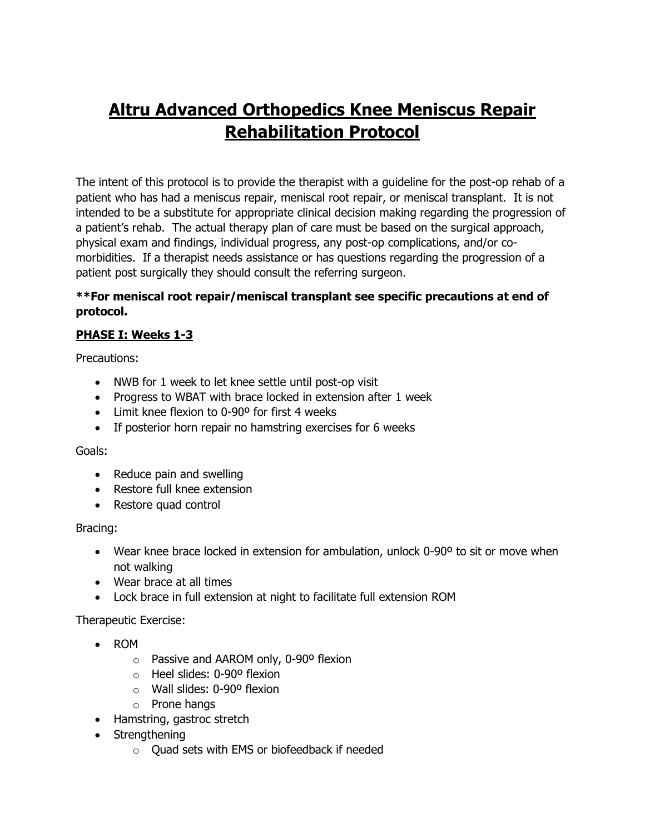# **Altru Advanced Orthopedics Knee Meniscus Repair Rehabilitation Protocol**

The intent of this protocol is to provide the therapist with a guideline for the post-op rehab of a patient who has had a meniscus repair, meniscal root repair, or meniscal transplant. It is not intended to be a substitute for appropriate clinical decision making regarding the progression of a patient's rehab. The actual therapy plan of care must be based on the surgical approach, physical exam and findings, individual progress, any post-op complications, and/or comorbidities. If a therapist needs assistance or has questions regarding the progression of a patient post surgically they should consult the referring surgeon.

## **\*\*For meniscal root repair/meniscal transplant see specific precautions at end of protocol.**

# **PHASE I: Weeks 1-3**

Precautions:

- NWB for 1 week to let knee settle until post-op visit
- Progress to WBAT with brace locked in extension after 1 week
- Limit knee flexion to 0-90º for first 4 weeks
- If posterior horn repair no hamstring exercises for 6 weeks

# Goals:

- Reduce pain and swelling
- Restore full knee extension
- Restore quad control

# Bracing:

- Wear knee brace locked in extension for ambulation, unlock 0-90° to sit or move when not walking
- Wear brace at all times
- Lock brace in full extension at night to facilitate full extension ROM

- ROM
	- o Passive and AAROM only, 0-90º flexion
	- o Heel slides: 0-90º flexion
	- $\circ$  Wall slides: 0-90° flexion
	- o Prone hangs
- Hamstring, gastroc stretch
- Strengthening
	- o Quad sets with EMS or biofeedback if needed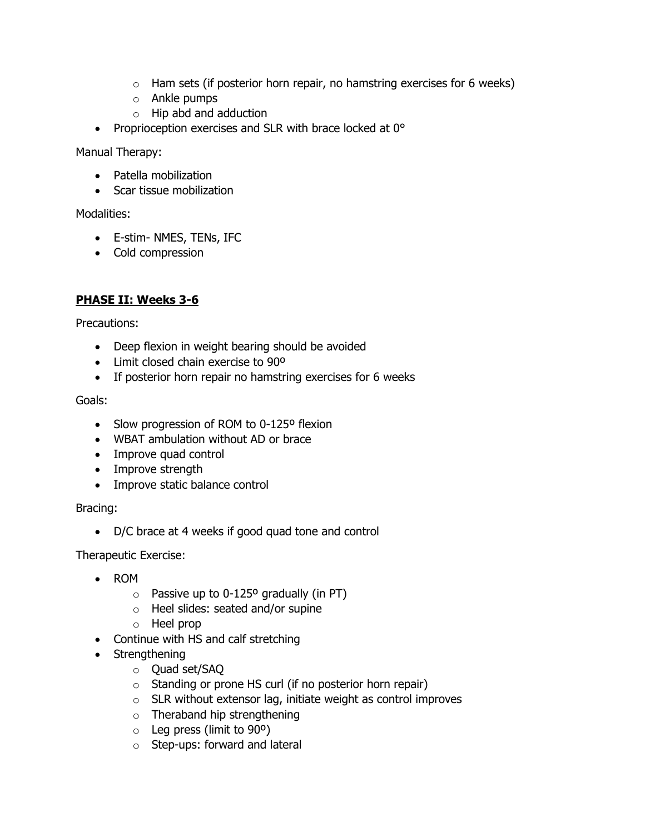- $\circ$  Ham sets (if posterior horn repair, no hamstring exercises for 6 weeks)
- o Ankle pumps
- o Hip abd and adduction
- Proprioception exercises and SLR with brace locked at 0°

Manual Therapy:

- Patella mobilization
- Scar tissue mobilization

Modalities:

- E-stim- NMES, TENs, IFC
- Cold compression

## **PHASE II: Weeks 3-6**

Precautions:

- Deep flexion in weight bearing should be avoided
- Limit closed chain exercise to 90º
- If posterior horn repair no hamstring exercises for 6 weeks

#### Goals:

- Slow progression of ROM to 0-125° flexion
- WBAT ambulation without AD or brace
- Improve quad control
- Improve strength
- Improve static balance control

Bracing:

• D/C brace at 4 weeks if good quad tone and control

- ROM
	- $\circ$  Passive up to 0-125° gradually (in PT)
	- o Heel slides: seated and/or supine
	- o Heel prop
- Continue with HS and calf stretching
- Strengthening
	- o Quad set/SAQ
	- o Standing or prone HS curl (if no posterior horn repair)
	- $\circ$  SLR without extensor lag, initiate weight as control improves
	- o Theraband hip strengthening
	- $\circ$  Leg press (limit to 90 $\circ$ )
	- o Step-ups: forward and lateral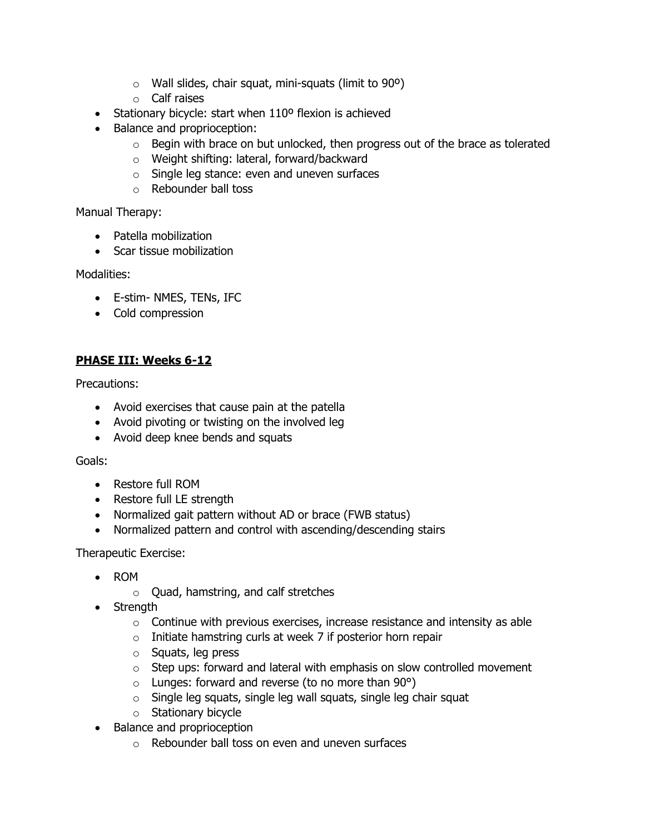- $\circ$  Wall slides, chair squat, mini-squats (limit to 90 $\circ$ )
- o Calf raises
- Stationary bicycle: start when 110° flexion is achieved
- Balance and proprioception:
	- $\circ$  Begin with brace on but unlocked, then progress out of the brace as tolerated
	- o Weight shifting: lateral, forward/backward
	- o Single leg stance: even and uneven surfaces
	- o Rebounder ball toss

Manual Therapy:

- Patella mobilization
- Scar tissue mobilization

Modalities:

- E-stim- NMES, TENs, IFC
- Cold compression

## **PHASE III: Weeks 6-12**

Precautions:

- Avoid exercises that cause pain at the patella
- Avoid pivoting or twisting on the involved leg
- Avoid deep knee bends and squats

## Goals:

- Restore full ROM
- Restore full LE strength
- Normalized gait pattern without AD or brace (FWB status)
- Normalized pattern and control with ascending/descending stairs

- ROM
	- o Quad, hamstring, and calf stretches
- Strength
	- $\circ$  Continue with previous exercises, increase resistance and intensity as able
	- $\circ$  Initiate hamstring curls at week 7 if posterior horn repair
	- o Squats, leg press
	- $\circ$  Step ups: forward and lateral with emphasis on slow controlled movement
	- $\circ$  Lunges: forward and reverse (to no more than 90 $\circ$ )
	- o Single leg squats, single leg wall squats, single leg chair squat
	- o Stationary bicycle
- Balance and proprioception
	- o Rebounder ball toss on even and uneven surfaces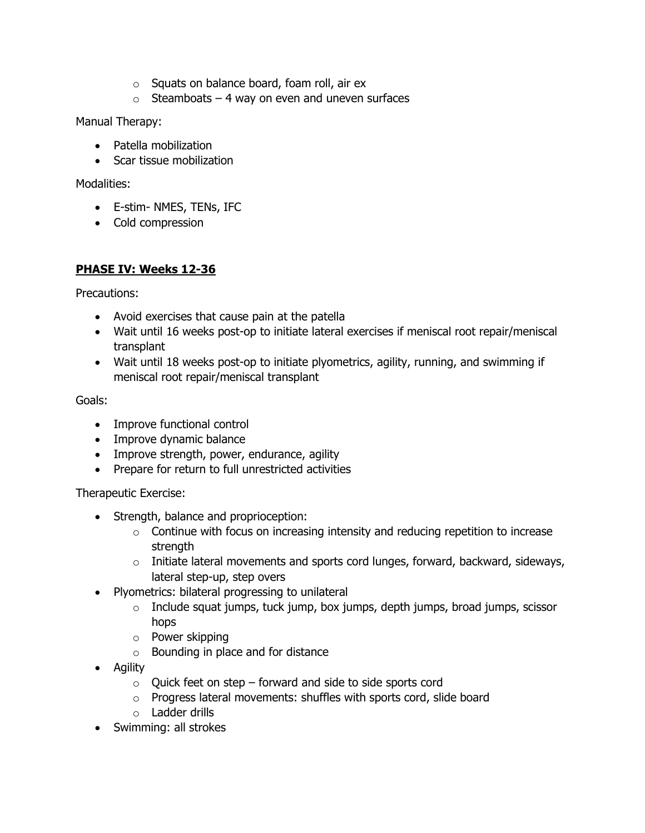- o Squats on balance board, foam roll, air ex
- $\circ$  Steamboats 4 way on even and uneven surfaces

Manual Therapy:

- Patella mobilization
- Scar tissue mobilization

Modalities:

- E-stim- NMES, TENs, IFC
- Cold compression

## **PHASE IV: Weeks 12-36**

Precautions:

- Avoid exercises that cause pain at the patella
- Wait until 16 weeks post-op to initiate lateral exercises if meniscal root repair/meniscal transplant
- Wait until 18 weeks post-op to initiate plyometrics, agility, running, and swimming if meniscal root repair/meniscal transplant

Goals:

- Improve functional control
- Improve dynamic balance
- Improve strength, power, endurance, agility
- Prepare for return to full unrestricted activities

- Strength, balance and proprioception:
	- $\circ$  Continue with focus on increasing intensity and reducing repetition to increase strength
	- $\circ$  Initiate lateral movements and sports cord lunges, forward, backward, sideways, lateral step-up, step overs
- Plyometrics: bilateral progressing to unilateral
	- $\circ$  Include squat jumps, tuck jump, box jumps, depth jumps, broad jumps, scissor hops
	- o Power skipping
	- o Bounding in place and for distance
- Agility
	- $\circ$  Quick feet on step forward and side to side sports cord
	- o Progress lateral movements: shuffles with sports cord, slide board
	- o Ladder drills
- Swimming: all strokes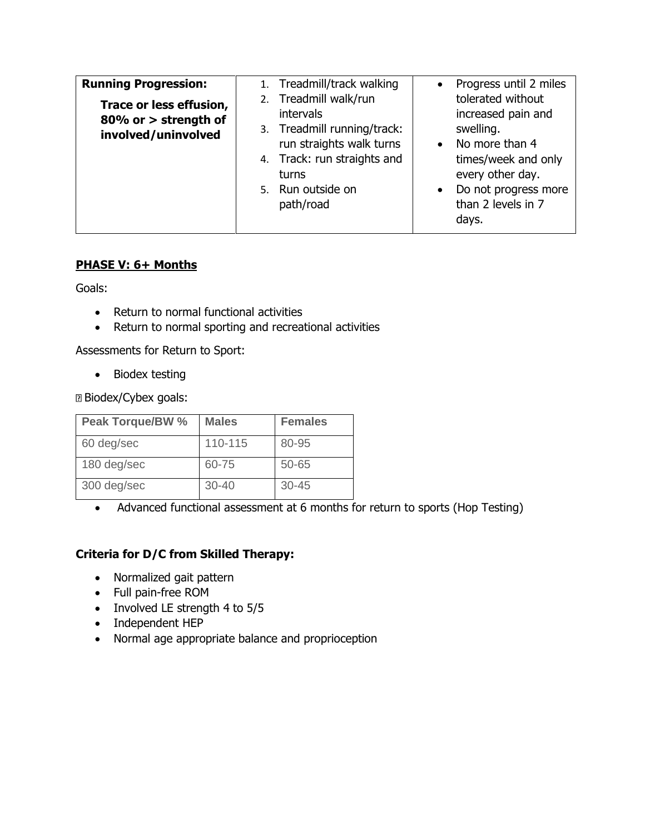| <b>Running Progression:</b>                                            | 1. Treadmill/track walking                                                                                                                                                     | Progress until 2 miles<br>$\bullet$                                                                                                                                                                |
|------------------------------------------------------------------------|--------------------------------------------------------------------------------------------------------------------------------------------------------------------------------|----------------------------------------------------------------------------------------------------------------------------------------------------------------------------------------------------|
| Trace or less effusion,<br>80% or > strength of<br>involved/uninvolved | 2. Treadmill walk/run<br><i>intervals</i><br>3. Treadmill running/track:<br>run straights walk turns<br>4. Track: run straights and<br>turns<br>5. Run outside on<br>path/road | tolerated without<br>increased pain and<br>swelling.<br>No more than 4<br>$\bullet$<br>times/week and only<br>every other day.<br>Do not progress more<br>$\bullet$<br>than 2 levels in 7<br>days. |

## **PHASE V: 6+ Months**

Goals:

- Return to normal functional activities
- Return to normal sporting and recreational activities

Assessments for Return to Sport:

• Biodex testing

Biodex/Cybex goals:

| <b>Peak Torque/BW %</b> | <b>Males</b> | <b>Females</b> |
|-------------------------|--------------|----------------|
| 60 deg/sec              | 110-115      | 80-95          |
| 180 deg/sec             | 60-75        | 50-65          |
| 300 deg/sec             | $30 - 40$    | $30 - 45$      |

• Advanced functional assessment at 6 months for return to sports (Hop Testing)

# **Criteria for D/C from Skilled Therapy:**

- Normalized gait pattern
- Full pain-free ROM
- Involved LE strength 4 to 5/5
- Independent HEP
- Normal age appropriate balance and proprioception